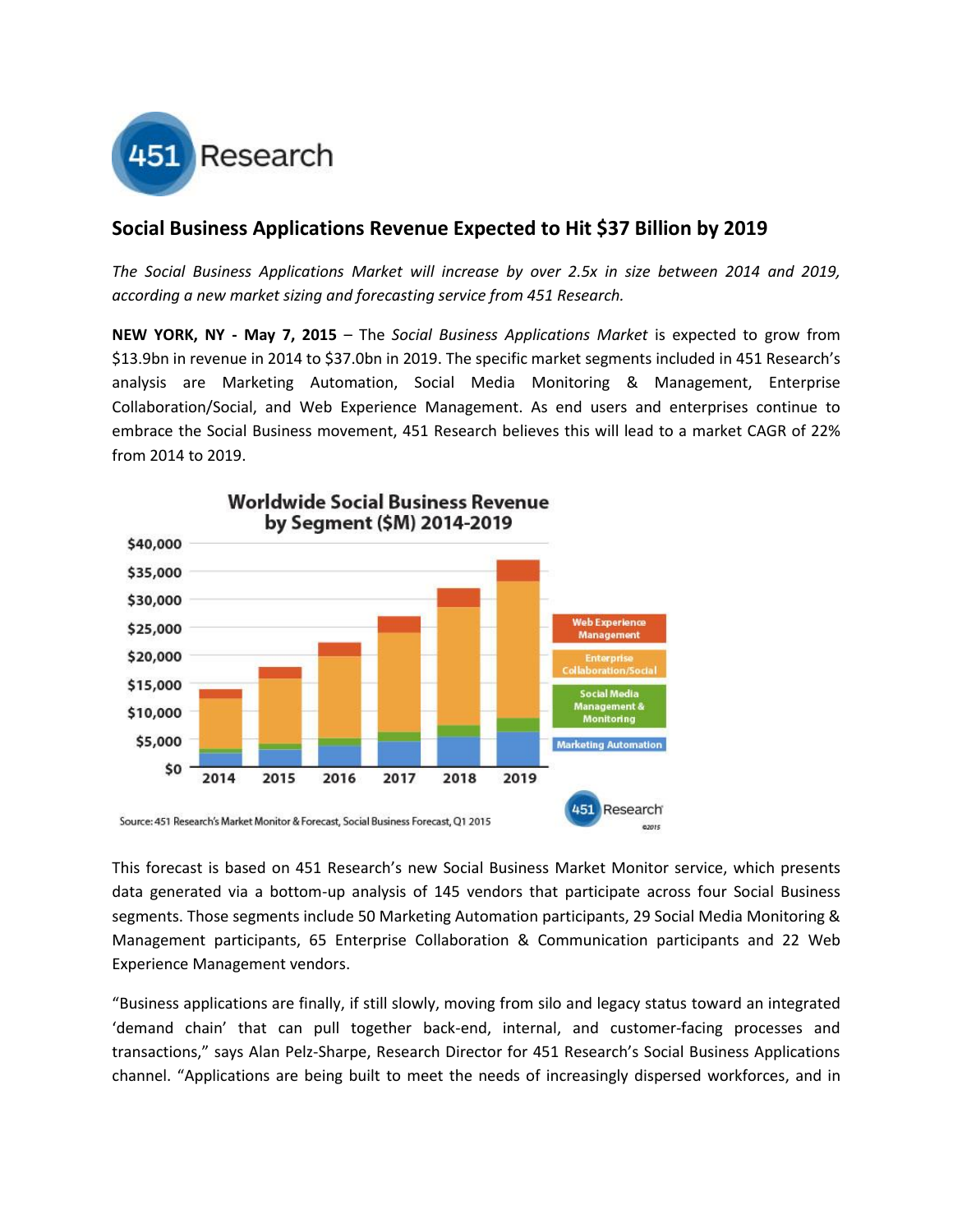

## **Social Business Applications Revenue Expected to Hit \$37 Billion by 2019**

*The Social Business Applications Market will increase by over 2.5x in size between 2014 and 2019, according a new market sizing and forecasting service from 451 Research.*

**NEW YORK, NY - May 7, 2015** – The *Social Business Applications Market* is expected to grow from \$13.9bn in revenue in 2014 to \$37.0bn in 2019. The specific market segments included in 451 Research's analysis are Marketing Automation, Social Media Monitoring & Management, Enterprise Collaboration/Social, and Web Experience Management. As end users and enterprises continue to embrace the Social Business movement, 451 Research believes this will lead to a market CAGR of 22% from 2014 to 2019.



This forecast is based on 451 Research's new Social Business Market Monitor service, which presents data generated via a bottom-up analysis of 145 vendors that participate across four Social Business segments. Those segments include 50 Marketing Automation participants, 29 Social Media Monitoring & Management participants, 65 Enterprise Collaboration & Communication participants and 22 Web Experience Management vendors.

"Business applications are finally, if still slowly, moving from silo and legacy status toward an integrated 'demand chain' that can pull together back-end, internal, and customer-facing processes and transactions," says Alan Pelz-Sharpe, Research Director for 451 Research's Social Business Applications channel. "Applications are being built to meet the needs of increasingly dispersed workforces, and in